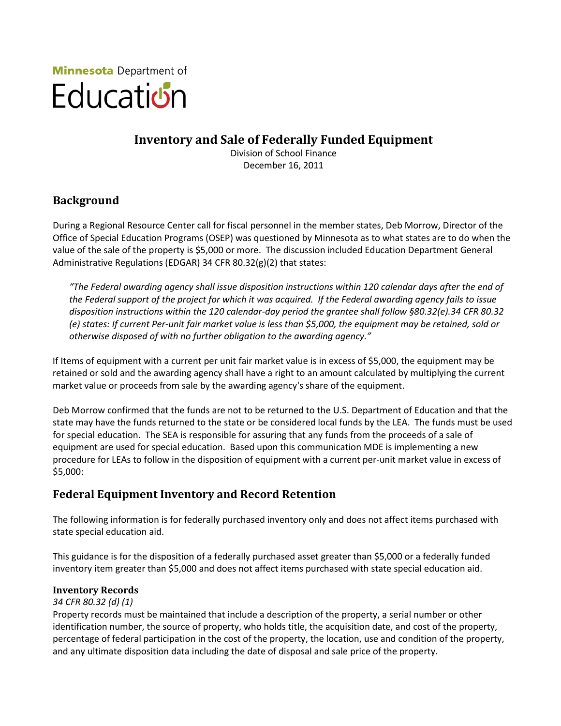

# **Inventory and Sale of Federally Funded Equipment**

Division of School Finance December 16, 2011

# **Background**

During a Regional Resource Center call for fiscal personnel in the member states, Deb Morrow, Director of the Office of Special Education Programs (OSEP) was questioned by Minnesota as to what states are to do when the value of the sale of the property is \$5,000 or more. The discussion included Education Department General Administrative Regulations (EDGAR) 34 CFR 80.32(g)(2) that states:

*"The Federal awarding agency shall issue disposition instructions within 120 calendar days after the end of the Federal support of the project for which it was acquired. If the Federal awarding agency fails to issue disposition instructions within the 120 calendar-day period the grantee shall follow §80.32(e).34 CFR 80.32 (e) states: If current Per-unit fair market value is less than \$5,000, the equipment may be retained, sold or otherwise disposed of with no further obligation to the awarding agency."* 

If Items of equipment with a current per unit fair market value is in excess of \$5,000, the equipment may be retained or sold and the awarding agency shall have a right to an amount calculated by multiplying the current market value or proceeds from sale by the awarding agency's share of the equipment.

Deb Morrow confirmed that the funds are not to be returned to the U.S. Department of Education and that the state may have the funds returned to the state or be considered local funds by the LEA. The funds must be used for special education. The SEA is responsible for assuring that any funds from the proceeds of a sale of equipment are used for special education. Based upon this communication MDE is implementing a new procedure for LEAs to follow in the disposition of equipment with a current per-unit market value in excess of \$5,000:

# **Federal Equipment Inventory and Record Retention**

The following information is for federally purchased inventory only and does not affect items purchased with state special education aid.

This guidance is for the disposition of a federally purchased asset greater than \$5,000 or a federally funded inventory item greater than \$5,000 and does not affect items purchased with state special education aid.

### **Inventory Records**

#### *34 CFR 80.32 (d) (1)*

Property records must be maintained that include a description of the property, a serial number or other identification number, the source of property, who holds title, the acquisition date, and cost of the property, percentage of federal participation in the cost of the property, the location, use and condition of the property, and any ultimate disposition data including the date of disposal and sale price of the property.